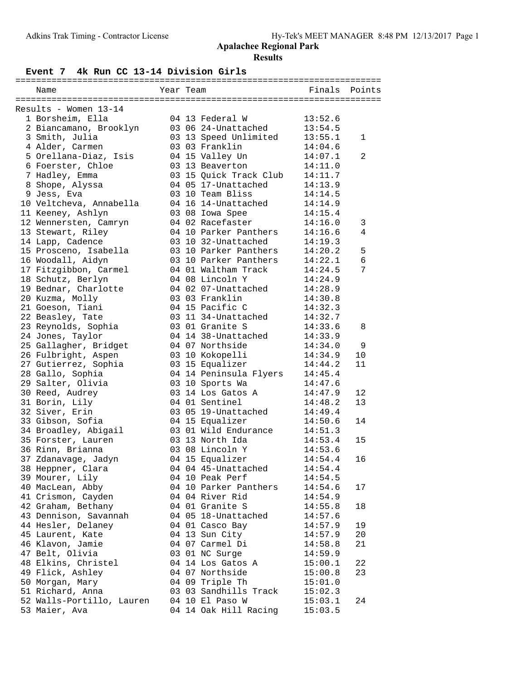#### **Event 7 4k Run CC 13-14 Division Girls**

| Name                                        | Year Team |                        | Finals  | Points |
|---------------------------------------------|-----------|------------------------|---------|--------|
|                                             |           |                        |         |        |
| Results - Women 13-14                       |           |                        |         |        |
| 1 Borsheim, Ella                            |           | 04 13 Federal W        | 13:52.6 |        |
| 2 Biancamano, Brooklyn                      |           | 03 06 24-Unattached    | 13:54.5 |        |
| 3 Smith, Julia                              |           | 03 13 Speed Unlimited  | 13:55.1 | 1      |
| 4 Alder, Carmen                             |           | 03 03 Franklin         | 14:04.6 |        |
| 5 Orellana-Diaz, Isis                       |           | 04 15 Valley Un        | 14:07.1 | 2      |
| 6 Foerster, Chloe                           |           | 03 13 Beaverton        | 14:11.0 |        |
| 7 Hadley, Emma                              |           | 03 15 Quick Track Club | 14:11.7 |        |
| 8 Shope, Alyssa                             |           | 04 05 17-Unattached    | 14:13.9 |        |
| 9 Jess, Eva                                 |           | 03 10 Team Bliss       | 14:14.5 |        |
| 10 Veltcheva, Annabella                     |           | 04 16 14-Unattached    | 14:14.9 |        |
| 11 Keeney, Ashlyn                           |           | 03 08 Iowa Spee        | 14:15.4 |        |
| 12 Wennersten, Camryn                       |           | 04 02 Racefaster       | 14:16.0 | 3      |
| 13 Stewart, Riley                           |           | 04 10 Parker Panthers  | 14:16.6 | 4      |
| 14 Lapp, Cadence                            |           | 03 10 32-Unattached    | 14:19.3 |        |
| 15 Prosceno, Isabella                       |           | 03 10 Parker Panthers  | 14:20.2 | 5      |
| 16 Woodall, Aidyn                           |           | 03 10 Parker Panthers  | 14:22.1 | 6      |
| 17 Fitzgibbon, Carmel                       |           | 04 01 Waltham Track    | 14:24.5 | 7      |
| 18 Schutz, Berlyn                           |           | 04 08 Lincoln Y        | 14:24.9 |        |
| 19 Bednar, Charlotte                        |           | 04 02 07-Unattached    | 14:28.9 |        |
| 20 Kuzma, Molly                             |           | 03 03 Franklin         | 14:30.8 |        |
| 21 Goeson, Tiani                            |           | 04 15 Pacific C        | 14:32.3 |        |
| 22 Beasley, Tate                            |           | 03 11 34-Unattached    | 14:32.7 |        |
| 23 Reynolds, Sophia                         |           | 03 01 Granite S        | 14:33.6 | 8      |
| 24 Jones, Taylor                            |           | 04 14 38-Unattached    | 14:33.9 |        |
| 25 Gallagher, Bridget                       |           | 04 07 Northside        | 14:34.0 | 9      |
|                                             |           |                        | 14:34.9 | 10     |
| 26 Fulbright, Aspen<br>27 Gutierrez, Sophia |           | 03 10 Kokopelli        |         | 11     |
|                                             |           | 03 15 Equalizer        | 14:44.2 |        |
| 28 Gallo, Sophia                            |           | 04 14 Peninsula Flyers | 14:45.4 |        |
| 29 Salter, Olivia                           |           | 03 10 Sports Wa        | 14:47.6 |        |
| 30 Reed, Audrey                             |           | 03 14 Los Gatos A      | 14:47.9 | 12     |
| 31 Borin, Lily                              |           | 04 01 Sentinel         | 14:48.2 | 13     |
| 32 Siver, Erin                              |           | 03 05 19-Unattached    | 14:49.4 |        |
| 33 Gibson, Sofia                            |           | 04 15 Equalizer        | 14:50.6 | 14     |
| 34 Broadley, Abigail                        |           | 03 01 Wild Endurance   | 14:51.3 |        |
| 35 Forster, Lauren                          |           | 03 13 North Ida        | 14:53.4 | 15     |
| 36 Rinn, Brianna                            |           | 03 08 Lincoln Y        | 14:53.6 |        |
| 37 Zdanavage, Jadyn                         |           | 04 15 Equalizer        | 14:54.4 | 16     |
| 38 Heppner, Clara                           |           | 04 04 45-Unattached    | 14:54.4 |        |
| 39 Mourer, Lily                             |           | 04 10 Peak Perf        | 14:54.5 |        |
| 40 MacLean, Abby                            |           | 04 10 Parker Panthers  | 14:54.6 | 17     |
| 41 Crismon, Cayden                          |           | 04 04 River Rid        | 14:54.9 |        |
| 42 Graham, Bethany                          |           | 04 01 Granite S        | 14:55.8 | 18     |
| 43 Dennison, Savannah                       |           | 04 05 18-Unattached    | 14:57.6 |        |
| 44 Hesler, Delaney                          |           | 04 01 Casco Bay        | 14:57.9 | 19     |
| 45 Laurent, Kate                            |           | 04 13 Sun City         | 14:57.9 | 20     |
| 46 Klavon, Jamie                            |           | 04 07 Carmel Di        | 14:58.8 | 21     |
| 47 Belt, Olivia                             |           | 03 01 NC Surge         | 14:59.9 |        |
| 48 Elkins, Christel                         |           | 04 14 Los Gatos A      | 15:00.1 | 22     |
| 49 Flick, Ashley                            |           | 04 07 Northside        | 15:00.8 | 23     |
| 50 Morgan, Mary                             |           | 04 09 Triple Th        | 15:01.0 |        |
| 51 Richard, Anna                            |           | 03 03 Sandhills Track  | 15:02.3 |        |
| 52 Walls-Portillo, Lauren                   |           | 04 10 El Paso W        | 15:03.1 | 24     |
| 53 Maier, Ava                               |           | 04 14 Oak Hill Racing  | 15:03.5 |        |
|                                             |           |                        |         |        |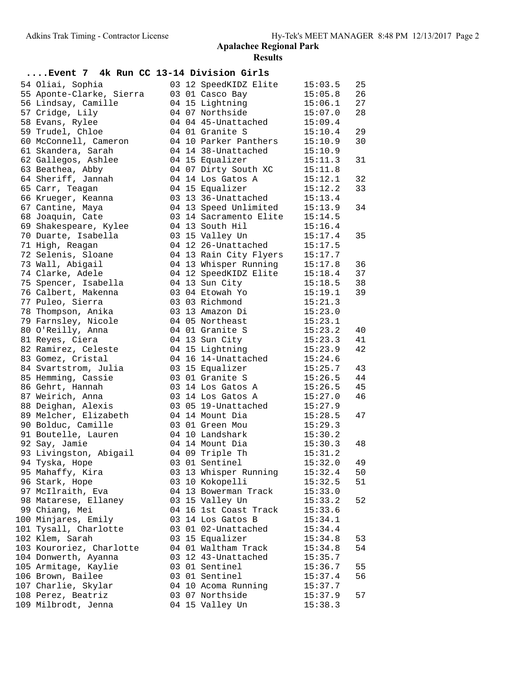| Event 7 4k Run CC 13-14 Division Girls |  |                                         |                    |    |
|----------------------------------------|--|-----------------------------------------|--------------------|----|
| 54 Oliai, Sophia                       |  | 03 12 SpeedKIDZ Elite                   | 15:03.5            | 25 |
| 55 Aponte-Clarke, Sierra               |  | 03 01 Casco Bay                         | 15:05.8            | 26 |
| 56 Lindsay, Camille                    |  | 04 15 Lightning                         | 15:06.1            | 27 |
| 57 Cridge, Lily                        |  | 04 07 Northside                         | 15:07.0            | 28 |
| 58 Evans, Rylee                        |  | 04 04 45-Unattached                     | 15:09.4            |    |
| 59 Trudel, Chloe                       |  | 04 01 Granite S                         | 15:10.4            | 29 |
| 60 McConnell, Cameron                  |  | 04 10 Parker Panthers                   | 15:10.9            | 30 |
| 61 Skandera, Sarah                     |  | 04 14 38-Unattached                     | 15:10.9            |    |
| 62 Gallegos, Ashlee                    |  | 04 15 Equalizer                         | 15:11.3            | 31 |
| 63 Beathea, Abby                       |  | 04 07 Dirty South XC                    | 15:11.8            |    |
| 64 Sheriff, Jannah                     |  | 04 14 Los Gatos A                       | 15:12.1            | 32 |
| 65 Carr, Teagan                        |  | 04 15 Equalizer                         | 15:12.2            | 33 |
| 66 Krueger, Keanna                     |  | 03 13 36-Unattached                     | 15:13.4            |    |
| 67 Cantine, Maya                       |  | 04 13 Speed Unlimited                   | 15:13.9            | 34 |
| 68 Joaquin, Cate                       |  | 03 14 Sacramento Elite                  | 15:14.5            |    |
| 69 Shakespeare, Kylee                  |  | 04 13 South Hil                         | 15:16.4            |    |
| 70 Duarte, Isabella                    |  | 03 15 Valley Un                         | 15:17.4            | 35 |
| 71 High, Reagan                        |  | 04 12 26-Unattached                     | 15:17.5            |    |
| 72 Selenis, Sloane                     |  | 04 13 Rain City Flyers                  | 15:17.7            |    |
| 73 Wall, Abigail                       |  | 04 13 Whisper Running                   | 15:17.8            | 36 |
| 74 Clarke, Adele                       |  | 04 12 SpeedKIDZ Elite                   | 15:18.4            | 37 |
| 75 Spencer, Isabella                   |  | 04 13 Sun City                          | 15:18.5            | 38 |
| 76 Calbert, Makenna                    |  | 03 04 Etowah Yo                         | 15:19.1            | 39 |
| 77 Puleo, Sierra                       |  | 03 03 Richmond                          | 15:21.3            |    |
| 78 Thompson, Anika                     |  | 03 13 Amazon Di                         | 15:23.0            |    |
| 79 Farnsley, Nicole                    |  | 04 05 Northeast                         | 15:23.1            |    |
| 80 O'Reilly, Anna                      |  | 04 01 Granite S                         | 15:23.2            | 40 |
| 81 Reyes, Ciera                        |  | 04 13 Sun City                          | 15:23.3            | 41 |
| 82 Ramirez, Celeste                    |  | 04 15 Lightning                         | 15:23.9            | 42 |
| 83 Gomez, Cristal                      |  | 04 16 14-Unattached                     | 15:24.6            |    |
| 84 Svartstrom, Julia                   |  | 03 15 Equalizer                         | 15:25.7            | 43 |
| 85 Hemming, Cassie                     |  | 03 01 Granite S                         | 15:26.5            | 44 |
| 86 Gehrt, Hannah                       |  | 03 14 Los Gatos A                       | 15:26.5            | 45 |
| 87 Weirich, Anna                       |  | 03 14 Los Gatos A                       | 15:27.0            | 46 |
| 88 Deighan, Alexis                     |  | 03 05 19-Unattached                     | 15:27.9            |    |
| 89 Melcher, Elizabeth                  |  | 04 14 Mount Dia                         | 15:28.5            | 47 |
| 90 Bolduc, Camille                     |  | 03 01 Green Mou                         | 15:29.3            |    |
| 91 Boutelle, Lauren                    |  | 04 10 Landshark                         | 15:30.2            |    |
| 92 Say, Jamie                          |  | 04 14 Mount Dia                         | 15:30.3            | 48 |
| 93 Livingston, Abigail                 |  | 04 09 Triple Th                         | 15:31.2            |    |
| 94 Tyska, Hope                         |  | 03 01 Sentinel                          | 15:32.0            | 49 |
| 95 Mahaffy, Kira<br>96 Stark, Hope     |  | 03 13 Whisper Running                   | 15:32.4            | 50 |
| 97 McIlraith, Eva                      |  | 03 10 Kokopelli<br>04 13 Bowerman Track | 15:32.5            | 51 |
| 98 Matarese, Ellaney                   |  | 03 15 Valley Un                         | 15:33.0<br>15:33.2 | 52 |
| 99 Chiang, Mei                         |  | 04 16 1st Coast Track                   |                    |    |
| 100 Minjares, Emily                    |  | 03 14 Los Gatos B                       | 15:33.6<br>15:34.1 |    |
| 101 Tysall, Charlotte                  |  | 03 01 02-Unattached                     | 15:34.4            |    |
| 102 Klem, Sarah                        |  | 03 15 Equalizer                         | 15:34.8            | 53 |
| 103 Kouroriez, Charlotte               |  | 04 01 Waltham Track                     | 15:34.8            | 54 |
| 104 Donwerth, Ayanna                   |  | 03 12 43-Unattached                     | 15:35.7            |    |
| 105 Armitage, Kaylie                   |  | 03 01 Sentinel                          | 15:36.7            | 55 |
| 106 Brown, Bailee                      |  | 03 01 Sentinel                          | 15:37.4            | 56 |
| 107 Charlie, Skylar                    |  | 04 10 Acoma Running                     | 15:37.7            |    |
| 108 Perez, Beatriz                     |  | 03 07 Northside                         | 15:37.9            | 57 |
| 109 Milbrodt, Jenna                    |  | 04 15 Valley Un                         | 15:38.3            |    |
|                                        |  |                                         |                    |    |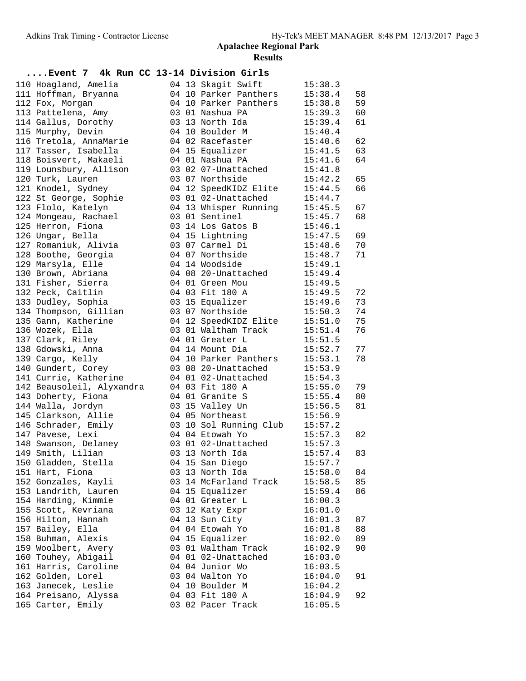| Event 7 4k Run CC 13-14 Division Girls |  |                               |                    |    |
|----------------------------------------|--|-------------------------------|--------------------|----|
| 110 Hoagland, Amelia                   |  | 04 13 Skagit Swift            | 15:38.3            |    |
| 111 Hoffman, Bryanna                   |  | 04 10 Parker Panthers         | 15:38.4            | 58 |
| 112 Fox, Morgan                        |  | 04 10 Parker Panthers         | 15:38.8            | 59 |
| 113 Pattelena, Amy                     |  | 03 01 Nashua PA               | 15:39.3            | 60 |
| 114 Gallus, Dorothy                    |  | 03 13 North Ida               | 15:39.4            | 61 |
| 115 Murphy, Devin                      |  | 04 10 Boulder M               | 15:40.4            |    |
| 116 Tretola, AnnaMarie                 |  | 04 02 Racefaster              | 15:40.6            | 62 |
| 117 Tasser, Isabella                   |  | 04 15 Equalizer               | 15:41.5            | 63 |
| 118 Boisvert, Makaeli                  |  | 04 01 Nashua PA               | 15:41.6            | 64 |
| 119 Lounsbury, Allison                 |  | 03 02 07-Unattached           | 15:41.8            |    |
| 120 Turk, Lauren                       |  | 03 07 Northside               | 15:42.2            | 65 |
| 121 Knodel, Sydney                     |  | 04 12 SpeedKIDZ Elite 15:44.5 |                    | 66 |
| 122 St George, Sophie                  |  | 03 01 02-Unattached           | 15:44.7            |    |
| 123 Flolo, Katelyn                     |  | 04 13 Whisper Running         | 15:45.5            | 67 |
| 124 Mongeau, Rachael                   |  | 03 01 Sentinel                | 15:45.7            | 68 |
| 125 Herron, Fiona                      |  | 03 14 Los Gatos B             | 15:46.1            |    |
| 126 Ungar, Bella                       |  | 04 15 Lightning               | 15:46.⊥<br>15:47.5 | 69 |
| 127 Romaniuk, Alivia                   |  | 03 07 Carmel Di 15:48.6       |                    | 70 |
| 128 Boothe, Georgia                    |  | 04 07 Northside               | 15:48.7            | 71 |
| 129 Marsyla, Elle                      |  | 04 14 Woodside                | 15:49.1            |    |
| 130 Brown, Abriana                     |  | 04 08 20-Unattached           | 15:49.4            |    |
| 131 Fisher, Sierra                     |  | 04 01 Green Mou               | 15:49.5            |    |
| 132 Peck, Caitlin                      |  | 04 03 Fit 180 A               | 15:49.5            | 72 |
| 133 Dudley, Sophia                     |  | 03 15 Equalizer               | 15:49.6            | 73 |
| 134 Thompson, Gillian                  |  | 03 07 Northside               | 15:50.3            | 74 |
| 135 Gann, Katherine                    |  | 04 12 SpeedKIDZ Elite         | 15:51.0            | 75 |
| 136 Wozek, Ella                        |  | 03 01 Waltham Track           | 15:51.4            | 76 |
| 137 Clark, Riley                       |  | 04 01 Greater L               | 15:51.5            |    |
| 138 Gdowski, Anna                      |  | 04 14 Mount Dia               | 15:52.7            | 77 |
| 139 Cargo, Kelly                       |  | 04 10 Parker Panthers         | 15:53.1            | 78 |
| 140 Gundert, Corey                     |  | 03 08 20-Unattached           | 15:53.9            |    |
| 141 Currie, Katherine                  |  | 04 01 02-Unattached           | 15:54.3            |    |
| 142 Beausoleil, Alyxandra              |  | 04 03 Fit 180 A               | 15:55.0            | 79 |
| 143 Doherty, Fiona                     |  | 04 01 Granite S               |                    | 80 |
| 144 Walla, Jordyn                      |  | 03 15 Valley Un               | 15:55.4<br>15:56.5 | 81 |
| 145 Clarkson, Allie                    |  | 04 05 Northeast               | 15:56.9            |    |
| 146 Schrader, Emily                    |  | 03 10 Sol Running Club        | 15:57.2            |    |
| 147 Pavese, Lexi                       |  | 04 04 Etowah Yo               | 15:57.3            | 82 |
| 148 Swanson, Delaney                   |  | 03 01 02-Unattached           | 15:57.3            |    |
| 149 Smith, Lilian                      |  | 03 13 North Ida               | 15:57.4            | 83 |
| 150 Gladden, Stella                    |  | 04 15 San Diego               | 15:57.7            |    |
| 151 Hart, Fiona                        |  | 03 13 North Ida               | 15:58.0            | 84 |
| 152 Gonzales, Kayli                    |  | 03 14 McFarland Track         | 15:58.5            | 85 |
| 153 Landrith, Lauren                   |  | 04 15 Equalizer               | 15:59.4            | 86 |
| 154 Harding, Kimmie                    |  | 04 01 Greater L               | 16:00.3            |    |
| 155 Scott, Kevriana                    |  | 03 12 Katy Expr               | 16:01.0            |    |
| 156 Hilton, Hannah                     |  | 04 13 Sun City                | 16:01.3            | 87 |
| 157 Bailey, Ella                       |  | 04 04 Etowah Yo               | 16:01.8            | 88 |
| 158 Buhman, Alexis                     |  | 04 15 Equalizer               | 16:02.0            | 89 |
| 159 Woolbert, Avery                    |  | 03 01 Waltham Track           | 16:02.9            | 90 |
| 160 Touhey, Abigail                    |  | 04 01 02-Unattached           | 16:03.0            |    |
| 161 Harris, Caroline                   |  | 04 04 Junior Wo               | 16:03.5            |    |
| 162 Golden, Lorel                      |  | 03 04 Walton Yo               | 16:04.0            | 91 |
| 163 Janecek, Leslie                    |  | 04 10 Boulder M               | 16:04.2            |    |
| 164 Preisano, Alyssa                   |  | 04 03 Fit 180 A               | 16:04.9            | 92 |
| 165 Carter, Emily                      |  | 03 02 Pacer Track             | 16:05.5            |    |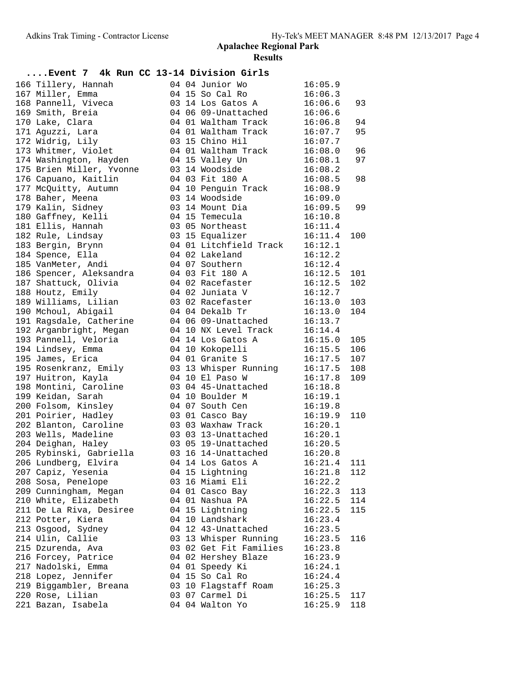| Event 7 4k Run CC 13-14 Division Girls               |  |                                           |         |     |
|------------------------------------------------------|--|-------------------------------------------|---------|-----|
| 166 Tillery, Hannah                                  |  | 04 04 Junior Wo                           | 16:05.9 |     |
| 167 Miller, Emma                                     |  | 04 15 So Cal Ro                           | 16:06.3 |     |
| 168 Pannell, Viveca                                  |  | 03 14 Los Gatos A                         | 16:06.6 | 93  |
| 169 Smith, Breia                                     |  | 04 06 09-Unattached                       | 16:06.6 |     |
| 170 Lake, Clara                                      |  | 04 01 Waltham Track                       | 16:06.8 | 94  |
| 171 Aguzzi, Lara                                     |  | 04 01 Waltham Track                       | 16:07.7 | 95  |
| 172 Widrig, Lily                                     |  | 03 15 Chino Hil                           | 16:07.7 |     |
| 173 Whitmer, Violet                                  |  | 04 01 Waltham Track                       | 16:08.0 | 96  |
| 174 Washington, Hayden                               |  | 04 15 Valley Un                           | 16:08.1 | 97  |
| 175 Brien Miller, Yvonne                             |  | u4 15 Valley Un<br>03 14 Woodside         | 16:08.2 |     |
| 176 Capuano, Kaitlin                                 |  | 04 03 Fit 180 A                           | 16:08.5 | 98  |
| 177 McQuitty, Autumn                                 |  | 04 10 Penguin Track                       | 16:08.9 |     |
| 178 Baher, Meena                                     |  | 03 14 Woodside                            | 16:09.0 |     |
| 179 Kalin, Sidney                                    |  | 03 14 Mount Dia                           | 16:09.5 | 99  |
| 180 Gaffney, Kelli                                   |  | 04 15 Temecula                            | 16:10.8 |     |
| 181 Ellis, Hannah                                    |  | 03 05 Northeast                           | 16:11.4 |     |
| 182 Rule, Lindsay                                    |  | 03 15 Equalizer                           | 16:11.4 | 100 |
| 183 Bergin, Brynn                                    |  | 04 01 Litchfield Track                    | 16:12.1 |     |
| 184 Spence, Ella                                     |  | 04 02 Lakeland                            | 16:12.2 |     |
| 185 VanMeter, Andi                                   |  | 04 07 Southern                            | 16:12.4 |     |
| 186 Spencer, Aleksandra                              |  | 04 03 Fit 180 A                           | 16:12.5 | 101 |
| 187 Shattuck, Olivia                                 |  | 04 02 Racefaster                          | 16:12.5 | 102 |
| 188 Houtz, Emily                                     |  | 04 02 Juniata V                           | 16:12.7 |     |
| 189 Williams, Lilian                                 |  | 03 02 Racefaster                          | 16:13.0 | 103 |
| 190 Mchoul, Abigail                                  |  | 04 04 Dekalb Tr                           | 16:13.0 | 104 |
| 191 Ragsdale, Catherine                              |  | 04 06 09-Unattached                       | 16:13.7 |     |
| 192 Arganbright, Megan                               |  |                                           | 16:14.4 |     |
| 193 Pannell, Veloria                                 |  | 04 10 NX Level Track<br>04 14 Los Gatos A | 16:15.0 | 105 |
| 194 Lindsey, Emma                                    |  | 04 10 Kokopelli                           | 16:15.5 | 106 |
| 195 James, Erica                                     |  | 04 01 Granite S                           | 16:17.5 | 107 |
| 195 Rosenkranz, Emily                                |  |                                           | 16:17.5 | 108 |
| 197 Huitron, Kayla                                   |  | 03 13 Whisper Running                     | 16:17.8 | 109 |
| 198 Montini, Caroline                                |  | 04 10 El Paso W                           | 16:18.8 |     |
| 199 Keidan, Sarah                                    |  | 03 04 45-Unattached<br>04 10 Boulder M    | 16:19.1 |     |
| 200 Folsom, Kinsley                                  |  | 04 07 South Cen                           | 16:19.8 |     |
| 201 Poirier, Hadley                                  |  | 03 01 Casco Bay                           | 16:19.9 | 110 |
| 202 Blanton, Caroline           03 03 Waxhaw Track   |  |                                           | 16:20.1 |     |
| 203 Wells, Madeline                                  |  |                                           |         |     |
| 204 Deighan, Haley                                   |  |                                           |         |     |
| 205 Rybinski, Gabriella and 16 14-Unattached 16:20.8 |  |                                           |         |     |
| 206 Lundberg, Elvira                                 |  | 04 14 Los Gatos A                         | 16:21.4 | 111 |
| 207 Capiz, Yesenia                                   |  | 04 15 Lightning                           | 16:21.8 | 112 |
| 208 Sosa, Penelope                                   |  | 03 16 Miami Eli                           | 16:22.2 |     |
| 209 Cunningham, Megan                                |  | 04 01 Casco Bay                           | 16:22.3 | 113 |
| 210 White, Elizabeth                                 |  | 04 01 Nashua PA                           | 16:22.5 | 114 |
| 211 De La Riva, Desiree                              |  | 04 15 Lightning                           | 16:22.5 | 115 |
| 212 Potter, Kiera                                    |  | 04 10 Landshark                           | 16:23.4 |     |
| 213 Osgood, Sydney                                   |  | 04 12 43-Unattached                       | 16:23.5 |     |
| 214 Ulin, Callie                                     |  | 03 13 Whisper Running                     | 16:23.5 | 116 |
| 215 Dzurenda, Ava                                    |  | 03 02 Get Fit Families                    | 16:23.8 |     |
| 216 Forcey, Patrice                                  |  | 04 02 Hershey Blaze                       | 16:23.9 |     |
| 217 Nadolski, Emma                                   |  | 04 01 Speedy Ki                           | 16:24.1 |     |
| 218 Lopez, Jennifer                                  |  | 04 15 So Cal Ro                           | 16:24.4 |     |
| 219 Biggambler, Breana                               |  | 03 10 Flagstaff Roam                      | 16:25.3 |     |
| 220 Rose, Lilian                                     |  | 03 07 Carmel Di                           | 16:25.5 | 117 |
| 221 Bazan, Isabela                                   |  | 04 04 Walton Yo                           | 16:25.9 | 118 |
|                                                      |  |                                           |         |     |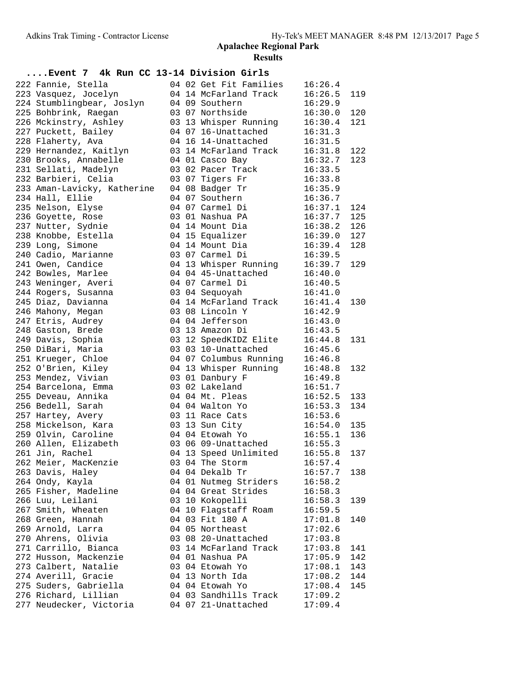| Event 7 4k Run CC 13-14 Division Girls |  |                                   |               |     |
|----------------------------------------|--|-----------------------------------|---------------|-----|
| 222 Fannie, Stella                     |  | 04 02 Get Fit Families            | 16:26.4       |     |
| 223 Vasquez, Jocelyn                   |  | 04 14 McFarland Track             | 16:26.5       | 119 |
| 224 Stumblingbear, Joslyn              |  | 04 09 Southern                    | 16:29.9       |     |
| 225 Bohbrink, Raegan                   |  | 03 07 Northside                   | 16:30.0       | 120 |
| 226 Mckinstry, Ashley                  |  | 03 13 Whisper Running             | 16:30.4       | 121 |
| 227 Puckett, Bailey                    |  | 04 07 16-Unattached               | 16:31.3       |     |
| 228 Flaherty, Ava                      |  | 04 16 14-Unattached 16:31.5       |               |     |
| 229 Hernandez, Kaitlyn                 |  | 03 14 McFarland Track 16:31.8     |               | 122 |
| 230 Brooks, Annabelle                  |  | 04 01 Casco Bay                   | 16:32.7       | 123 |
| 231 Sellati, Madelyn                   |  | 03 02 Pacer Track                 | 16:33.5       |     |
| 232 Barbieri, Celia                    |  | 03 07 Tigers Fr                   | 16:33.8       |     |
| 233 Aman-Lavicky, Katherine            |  | 04 08 Badger Tr                   | 16:35.9       |     |
| 234 Hall, Ellie                        |  | 04 07 Southern                    | 16:36.7       |     |
| 235 Nelson, Elyse                      |  | 04 07 Carmel Di                   | 16:37.1       | 124 |
| 236 Goyette, Rose                      |  | 03 01 Nashua PA                   | 16:37.7 125   |     |
| 237 Nutter, Sydnie                     |  | 04 14 Mount Dia                   | $16:38.2$ 126 |     |
| 238 Knobbe, Estella                    |  | 04 15 Equalizer                   | $16:39.0$ 127 |     |
| 239 Long, Simone                       |  | $04$ 14 Mount Dia                 | 16:39.4       | 128 |
| 240 Cadio, Marianne                    |  | 03 07 Carmel Di                   | 16:39.5       |     |
| 241 Owen, Candice                      |  | 04 13 Whisper Running 16:39.7     |               | 129 |
| 242 Bowles, Marlee                     |  | 04 04 45-Unattached 16:40.0       |               |     |
| 243 Weninger, Averi                    |  | 04 07 Carmel Di                   | 16:40.5       |     |
| 244 Rogers, Susanna                    |  | 03 04 Sequoyah                    | 16:41.0       |     |
| 245 Diaz, Davianna                     |  | 04 14 McFarland Track 16:41.4     |               | 130 |
| 246 Mahony, Megan                      |  | 03 08 Lincoln Y                   | 16:42.9       |     |
| 247 Etris, Audrey                      |  | 04 04 Jefferson                   | 16:43.0       |     |
| 248 Gaston, Brede                      |  | 03 13 Amazon Di                   | 16:43.5       |     |
| 249 Davis, Sophia                      |  | 03 12 SpeedKIDZ Elite             | 16:44.8       | 131 |
| 250 DiBari, Maria                      |  | 03 03 10-Unattached               | 16:45.6       |     |
| 251 Krueger, Chloe                     |  | 04 07 Columbus Running 16:46.8    |               |     |
| 252 O'Brien, Kiley                     |  | 04 13 Whisper Running 16:48.8     |               | 132 |
| 253 Mendez, Vivian                     |  | 03 01 Danbury F                   | 16:49.8       |     |
| 254 Barcelona, Emma                    |  | 03 02 Lakeland                    | 16:51.7       |     |
| 255 Deveau, Annika                     |  | 04 04 Mt. Pleas                   | 16:52.5       | 133 |
| 256 Bedell, Sarah                      |  | 04 04 Walton Yo                   | 16:53.3       | 134 |
| 257 Hartey, Avery                      |  | 03 11 Race Cats                   | 16:53.6       |     |
| 258 Mickelson, Kara                    |  | 03 13 Sun City 16:54.0            |               | 135 |
| 259 Olvin, Caroline                    |  | 04 04 Etowah Yo 16:55.1           |               | 136 |
| 260 Allen, Elizabeth                   |  | 03 06 09-Unattached 16:55.3       |               |     |
| 261 Jin, Rachel                        |  | 04 13 Speed Unlimited 16:55.8 137 |               |     |
| 262 Meier, MacKenzie                   |  | 03 04 The Storm                   | 16:57.4       |     |
| 263 Davis, Haley                       |  | 04 04 Dekalb Tr                   | 16:57.7       | 138 |
| 264 Ondy, Kayla                        |  | 04 01 Nutmeg Striders             | 16:58.2       |     |
| 265 Fisher, Madeline                   |  | 04 04 Great Strides               | 16:58.3       |     |
| 266 Luu, Leilani                       |  | 03 10 Kokopelli                   | 16:58.3       | 139 |
| 267 Smith, Wheaten                     |  | 04 10 Flagstaff Roam              | 16:59.5       |     |
| 268 Green, Hannah                      |  | 04 03 Fit 180 A                   | 17:01.8       | 140 |
| 269 Arnold, Larra                      |  | 04 05 Northeast                   | 17:02.6       |     |
| 270 Ahrens, Olivia                     |  | 03 08 20-Unattached               | 17:03.8       |     |
| 271 Carrillo, Bianca                   |  | 03 14 McFarland Track             | 17:03.8       | 141 |
| 272 Husson, Mackenzie                  |  | 04 01 Nashua PA                   | 17:05.9       | 142 |
| 273 Calbert, Natalie                   |  | 03 04 Etowah Yo                   | 17:08.1       | 143 |
| 274 Averill, Gracie                    |  | 04 13 North Ida                   | 17:08.2       | 144 |
| 275 Suders, Gabriella                  |  | 04 04 Etowah Yo                   | 17:08.4       | 145 |
| 276 Richard, Lillian                   |  | 04 03 Sandhills Track             | 17:09.2       |     |
| 277 Neudecker, Victoria                |  | 04 07 21-Unattached               | 17:09.4       |     |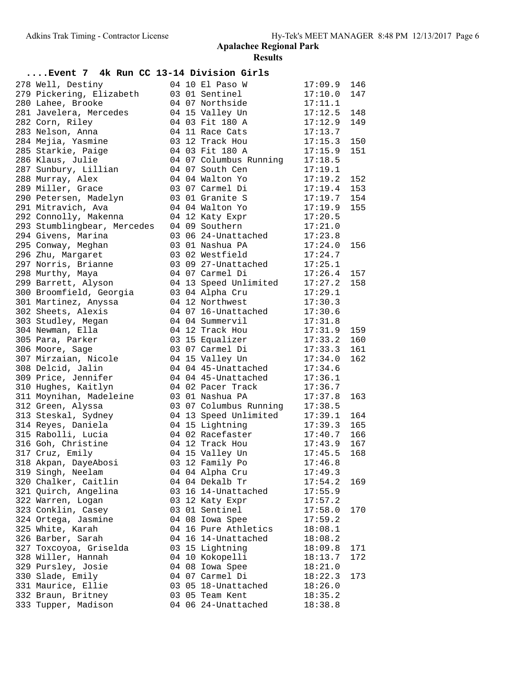| Event 7 4k Run CC 13-14 Division Girls |  |                                    |                    |            |
|----------------------------------------|--|------------------------------------|--------------------|------------|
| 278 Well, Destiny                      |  | 04 10 El Paso W                    | 17:09.9            | 146        |
| 279 Pickering, Elizabeth               |  | 03 01 Sentinel                     | 17:10.0            | 147        |
| 280 Lahee, Brooke                      |  | 04 07 Northside                    | 17:11.1            |            |
| 281 Javelera, Mercedes                 |  | 04 15 Valley Un                    | 17:12.5            | 148        |
| 282 Corn, Riley                        |  | 04 03 Fit 180 A                    | 17:12.9            | 149        |
| 283 Nelson, Anna                       |  | 04 11 Race Cats                    | 17:13.7            |            |
| 284 Mejia, Yasmine                     |  | 03 12 Track Hou                    | 17:15.3            | 150        |
| 285 Starkie, Paige                     |  | 04 03 Fit 180 A                    | 17:15.9            | 151        |
| 286 Klaus, Julie                       |  | 04 07 Columbus Running             | 17:18.5            |            |
| 287 Sunbury, Lillian                   |  | 04 07 South Cen                    | 17:19.1            |            |
| 288 Murray, Alex                       |  | 04 04 Walton Yo                    | 17:19.2            | 152        |
| 289 Miller, Grace                      |  | 03 07 Carmel Di                    | 17:19.4            | 153        |
| 290 Petersen, Madelyn                  |  | 03 01 Granite S                    | 17:19.7            | 154        |
| 291 Mitravich, Ava                     |  | 04 04 Walton Yo                    | 17:19.9            | 155        |
| 292 Connolly, Makenna                  |  | 04 12 Katy Expr                    | 17:20.5            |            |
| 293 Stumblingbear, Mercedes            |  | 04 09 Southern                     | 17:21.0            |            |
| 294 Givens, Marina                     |  | 03 06 24-Unattached                | 17:23.8            |            |
| 295 Conway, Meghan                     |  | 03 01 Nashua PA                    | 17:24.0            | 156        |
| 296 Zhu, Margaret                      |  | 03 02 Westfield                    | 17:24.7            |            |
| 297 Norris, Brianne                    |  | 03 09 27-Unattached                | 17:25.1            |            |
| 298 Murthy, Maya                       |  | 04 07 Carmel Di                    | 17:26.4            | 157        |
| 299 Barrett, Alyson                    |  | 04 13 Speed Unlimited              | 17:27.2            | 158        |
| 300 Broomfield, Georgia                |  | 03 04 Alpha Cru                    | 17:29.1            |            |
| 301 Martinez, Anyssa                   |  | 04 12 Northwest                    | 17:30.3            |            |
| 302 Sheets, Alexis                     |  | 04 07 16-Unattached                | 17:30.6            |            |
| 303 Studley, Megan                     |  | 04 04 Summervil                    | 17:31.8            |            |
| 304 Newman, Ella                       |  | 04 12 Track Hou                    | 17:31.9<br>17:33.2 | 159<br>160 |
| 305 Para, Parker<br>306 Moore, Sage    |  | 03 15 Equalizer<br>03 07 Carmel Di | 17:33.3            | 161        |
| 307 Mirzaian, Nicole                   |  | 04 15 Valley Un                    | 17:34.0            | 162        |
| 308 Delcid, Jalin                      |  | 04 04 45-Unattached                | 17:34.6            |            |
| 309 Price, Jennifer                    |  | 04 04 45-Unattached                | 17:36.1            |            |
| 310 Hughes, Kaitlyn                    |  | 04 02 Pacer Track                  | 17:36.7            |            |
| 311 Moynihan, Madeleine                |  | 03 01 Nashua PA                    | 17:37.8            | 163        |
| 312 Green, Alyssa                      |  | 03 07 Columbus Running             | 17:38.5            |            |
| 313 Steskal, Sydney                    |  | 04 13 Speed Unlimited              | 17:39.1            | 164        |
| 314 Reyes, Daniela                     |  | 04 15 Lightning                    | 17:39.3            | 165        |
| 315 Rabolli, Lucia                     |  | 04 02 Racefaster                   | 17:40.7            | 166        |
| 316 Goh, Christine                     |  | 04 12 Track Hou                    | 17:43.9            | 167        |
| 317 Cruz, Emily                        |  | 04 15 Valley Un                    | $17:45.5$ 168      |            |
| 318 Akpan, DayeAbosi                   |  | 03 12 Family Po                    | 17:46.8            |            |
| 319 Singh, Neelam                      |  | 04 04 Alpha Cru                    | 17:49.3            |            |
| 320 Chalker, Caitlin                   |  | 04 04 Dekalb Tr                    | 17:54.2            | 169        |
| 321 Quirch, Angelina                   |  | 03 16 14-Unattached                | 17:55.9            |            |
| 322 Warren, Logan                      |  | 03 12 Katy Expr                    | 17:57.2            |            |
| 323 Conklin, Casey                     |  | 03 01 Sentinel                     | 17:58.0            | 170        |
| 324 Ortega, Jasmine                    |  | 04 08 Iowa Spee                    | 17:59.2            |            |
| 325 White, Karah                       |  | 04 16 Pure Athletics               | 18:08.1            |            |
| 326 Barber, Sarah                      |  | 04 16 14-Unattached                | 18:08.2            |            |
| 327 Toxcoyoa, Griselda                 |  | 03 15 Lightning                    | 18:09.8            | 171        |
| 328 Willer, Hannah                     |  | 04 10 Kokopelli                    | 18:13.7            | 172        |
| 329 Pursley, Josie                     |  | 04 08 Iowa Spee                    | 18:21.0            |            |
| 330 Slade, Emily                       |  | 04 07 Carmel Di                    | 18:22.3            | 173        |
| 331 Maurice, Ellie                     |  | 03 05 18-Unattached                | 18:26.0            |            |
| 332 Braun, Britney                     |  | 03 05 Team Kent                    | 18:35.2            |            |
| 333 Tupper, Madison                    |  | 04 06 24-Unattached                | 18:38.8            |            |
|                                        |  |                                    |                    |            |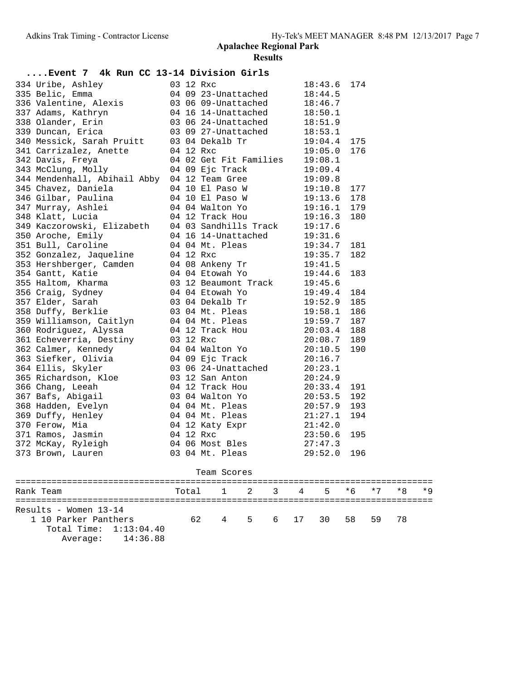| Event 7 4k Run CC 13-14 Division Girls                                                                                                                                                                                                     |       |             |   |   |    |             |      |      |      |      |
|--------------------------------------------------------------------------------------------------------------------------------------------------------------------------------------------------------------------------------------------|-------|-------------|---|---|----|-------------|------|------|------|------|
| 334 Uribe, Ashley and the Magnetic Sample of the Magnetic Emma<br>336 Valentine, Alexis and the Magnetic Sample of the Magnetic Sample of the Magnetic Sample of the Magnetic Sample Communication<br>338 Olander, Erin and the Un         |       |             |   |   |    | 18:43.6 174 |      |      |      |      |
|                                                                                                                                                                                                                                            |       |             |   |   |    |             |      |      |      |      |
|                                                                                                                                                                                                                                            |       |             |   |   |    |             |      |      |      |      |
|                                                                                                                                                                                                                                            |       |             |   |   |    |             |      |      |      |      |
|                                                                                                                                                                                                                                            |       |             |   |   |    |             |      |      |      |      |
|                                                                                                                                                                                                                                            |       |             |   |   |    |             |      |      |      |      |
|                                                                                                                                                                                                                                            |       |             |   |   |    |             | 175  |      |      |      |
|                                                                                                                                                                                                                                            |       |             |   |   |    |             | 176  |      |      |      |
| 340 Messick, Sarah Pruitt 03 04 Dekalb Tr 19:04.4<br>341 Carrizalez, Anette 04 12 Rxc 19:05.0<br>342 Davis, Freya 04 02 Get Fit Families 19:08.1<br>343 McClung, Molly 04 09 Ejc Track 19:09.4<br>344 Mendenhall, Abihail Abby 04 12 Team  |       |             |   |   |    |             |      |      |      |      |
|                                                                                                                                                                                                                                            |       |             |   |   |    |             |      |      |      |      |
|                                                                                                                                                                                                                                            |       |             |   |   |    |             |      |      |      |      |
|                                                                                                                                                                                                                                            |       |             |   |   |    |             |      |      |      |      |
|                                                                                                                                                                                                                                            |       |             |   |   |    |             |      |      |      |      |
|                                                                                                                                                                                                                                            |       |             |   |   |    |             |      |      |      |      |
|                                                                                                                                                                                                                                            |       |             |   |   |    |             |      |      |      |      |
|                                                                                                                                                                                                                                            |       |             |   |   |    |             |      |      |      |      |
|                                                                                                                                                                                                                                            |       |             |   |   |    |             |      |      |      |      |
|                                                                                                                                                                                                                                            |       |             |   |   |    |             |      |      |      |      |
|                                                                                                                                                                                                                                            |       |             |   |   |    |             |      |      |      |      |
|                                                                                                                                                                                                                                            |       |             |   |   |    |             |      |      |      |      |
|                                                                                                                                                                                                                                            |       |             |   |   |    |             |      |      |      |      |
|                                                                                                                                                                                                                                            |       |             |   |   |    |             |      |      |      |      |
|                                                                                                                                                                                                                                            |       |             |   |   |    |             |      |      |      |      |
|                                                                                                                                                                                                                                            |       |             |   |   |    |             |      |      |      |      |
|                                                                                                                                                                                                                                            |       |             |   |   |    |             |      |      |      |      |
|                                                                                                                                                                                                                                            |       |             |   |   |    |             |      |      |      |      |
|                                                                                                                                                                                                                                            |       |             |   |   |    |             |      |      |      |      |
|                                                                                                                                                                                                                                            |       |             |   |   |    |             |      |      |      |      |
|                                                                                                                                                                                                                                            |       |             |   |   |    |             |      |      |      |      |
|                                                                                                                                                                                                                                            |       |             |   |   |    |             |      |      |      |      |
|                                                                                                                                                                                                                                            |       |             |   |   |    |             |      |      |      |      |
|                                                                                                                                                                                                                                            |       |             |   |   |    |             |      |      |      |      |
|                                                                                                                                                                                                                                            |       |             |   |   |    |             |      |      |      |      |
|                                                                                                                                                                                                                                            |       |             |   |   |    |             |      |      |      |      |
|                                                                                                                                                                                                                                            |       |             |   |   |    |             |      |      |      |      |
|                                                                                                                                                                                                                                            |       |             |   |   |    |             |      |      |      |      |
|                                                                                                                                                                                                                                            |       |             |   |   |    |             |      |      |      |      |
|                                                                                                                                                                                                                                            |       |             |   |   |    |             |      |      |      |      |
|                                                                                                                                                                                                                                            |       |             |   |   |    |             |      |      |      |      |
|                                                                                                                                                                                                                                            |       |             |   |   |    |             |      |      |      |      |
| 334 Mendenhall, Mohlail 09 9 is Track 19:09.4<br>344 Mendenhall, Abihail Abiy 04 12 Team Gree<br>19:09.8<br>345 Chavez, Daniela 04 10 El Paso W<br>19:11.6 178<br>345 Gilbar, Paulina 04 10 El Paso W<br>19:11.6 178<br>347 Murray, Ashlei |       |             |   |   |    |             |      |      |      |      |
|                                                                                                                                                                                                                                            |       | Team Scores |   |   |    |             |      |      |      |      |
|                                                                                                                                                                                                                                            |       |             |   |   |    |             |      |      |      |      |
| Rank Team                                                                                                                                                                                                                                  | Total | 1           | 2 | 3 | 4  | 5.          | $*6$ | $*7$ | $*8$ | $*9$ |
|                                                                                                                                                                                                                                            |       |             |   |   |    |             |      |      |      |      |
| Results - Women 13-14                                                                                                                                                                                                                      |       |             |   |   |    |             |      |      |      |      |
| 1 10 Parker Panthers                                                                                                                                                                                                                       | 62    | 4           | 5 | 6 | 17 | 30          | 58   | 59   | 78   |      |
| Total Time: 1:13:04.40                                                                                                                                                                                                                     |       |             |   |   |    |             |      |      |      |      |
| 14:36.88<br>Average:                                                                                                                                                                                                                       |       |             |   |   |    |             |      |      |      |      |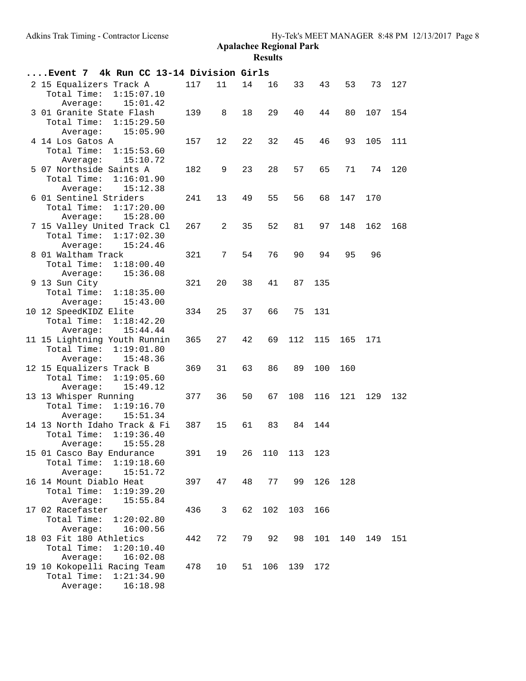| Event 7 4k Run CC 13-14 Division Girls                                            |     |    |    |                |     |     |     |     |     |
|-----------------------------------------------------------------------------------|-----|----|----|----------------|-----|-----|-----|-----|-----|
| 2 15 Equalizers Track A<br>Total Time:<br>1:15:07.10<br>15:01.42<br>Average:      | 117 | 11 | 14 | 16             | 33  | 43  | 53  | 73  | 127 |
| 3 01 Granite State Flash<br>Total Time:<br>1:15:29.50<br>Average:<br>15:05.90     | 139 | 8  | 18 | 29             | 40  | 44  | 80  | 107 | 154 |
| 4 14 Los Gatos A<br>Total Time:<br>1:15:53.60<br>15:10.72<br>Average:             | 157 | 12 | 22 | 32             | 45  | 46  | 93  | 105 | 111 |
| 5 07 Northside Saints A<br>Total Time:<br>1:16:01.90<br>15:12.38<br>Average:      | 182 | 9  | 23 | 28             | 57  | 65  | 71  | 74  | 120 |
| 6 01 Sentinel Striders<br>Total Time:<br>1:17:20.00<br>15:28.00<br>Average:       | 241 | 13 | 49 | 55             | 56  | 68  | 147 | 170 |     |
| 7 15 Valley United Track Cl<br>Total Time:<br>1:17:02.30<br>Average:<br>15:24.46  | 267 | 2  | 35 | 52             | 81  | 97  | 148 | 162 | 168 |
| 8 01 Waltham Track<br>Total Time:<br>1:18:00.40<br>15:36.08<br>Average:           | 321 | 7  | 54 | 76             | 90  | 94  | 95  | 96  |     |
| 9 13 Sun City<br>Total Time:<br>1:18:35.00<br>15:43.00<br>Average:                | 321 | 20 | 38 | 41             | 87  | 135 |     |     |     |
| 10 12 SpeedKIDZ Elite<br>Total Time:<br>1:18:42.20<br>15:44.44<br>Average:        | 334 | 25 | 37 | 66             | 75  | 131 |     |     |     |
| 11 15 Lightning Youth Runnin<br>Total Time:<br>1:19:01.80<br>15:48.36<br>Average: | 365 | 27 | 42 | 69             | 112 | 115 | 165 | 171 |     |
| 12 15 Equalizers Track B<br>Total Time:<br>1:19:05.60<br>15:49.12<br>Average:     | 369 | 31 | 63 | 86             | 89  | 100 | 160 |     |     |
| 13 13 Whisper Running<br>Total Time:<br>1:19:16.70<br>15:51.34<br>Average:        | 377 | 36 | 50 | 67             | 108 | 116 | 121 | 129 | 132 |
| 14 13 North Idaho Track & Fi<br>Total Time:<br>1:19:36.40<br>15:55.28<br>Average: | 387 | 15 | 61 | 83             | 84  | 144 |     |     |     |
| 15 01 Casco Bay Endurance<br>Total Time:<br>1:19:18.60<br>Average:<br>15:51.72    | 391 | 19 |    | 26 110 113 123 |     |     |     |     |     |
| 16 14 Mount Diablo Heat<br>Total Time:<br>1:19:39.20<br>Average:<br>15:55.84      | 397 | 47 | 48 | 77             | 99  | 126 | 128 |     |     |
| 17 02 Racefaster<br>Total Time:<br>1:20:02.80<br>Average:<br>16:00.56             | 436 | 3  | 62 | 102            | 103 | 166 |     |     |     |
| 18 03 Fit 180 Athletics<br>Total Time:<br>1:20:10.40<br>Average:<br>16:02.08      | 442 | 72 | 79 | 92             | 98  | 101 | 140 | 149 | 151 |
| 19 10 Kokopelli Racing Team<br>Total Time:<br>1:21:34.90<br>Average:<br>16:18.98  | 478 | 10 | 51 | 106            | 139 | 172 |     |     |     |